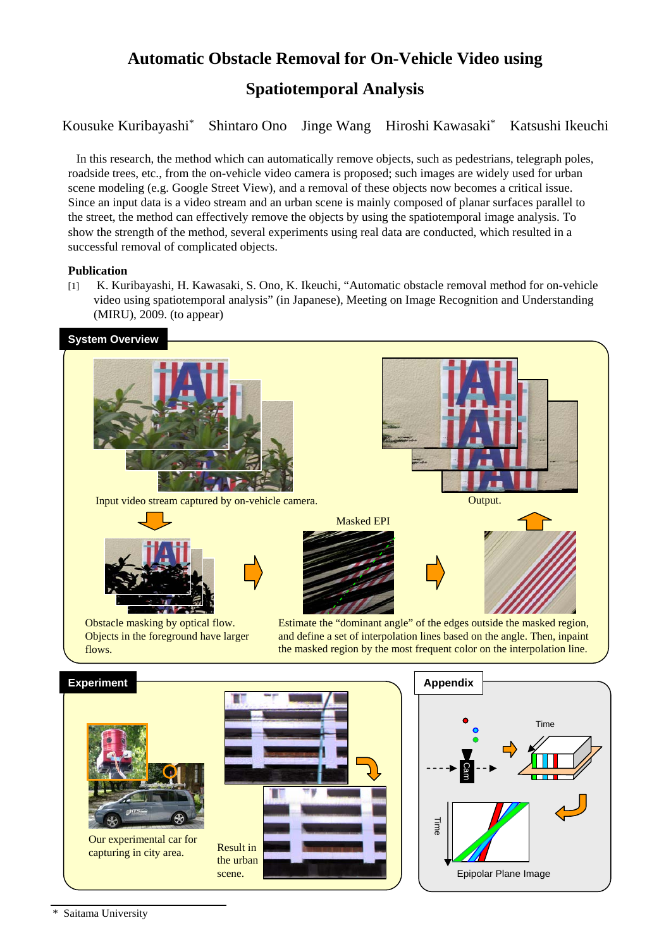# **Automatic Obstacle Removal for On-Vehicle Video using Spatiotemporal Analysis**

Kousuke Kuribayashi\* Shintaro Ono Jinge Wang Hiroshi Kawasaki\* Katsushi Ikeuchi

In this research, the method which can automatically remove objects, such as pedestrians, telegraph poles, roadside trees, etc., from the on-vehicle video camera is proposed; such images are widely used for urban scene modeling (e.g. Google Street View), and a removal of these objects now becomes a critical issue. Since an input data is a video stream and an urban scene is mainly composed of planar surfaces parallel to the street, the method can effectively remove the objects by using the spatiotemporal image analysis. To show the strength of the method, several experiments using real data are conducted, which resulted in a successful removal of complicated objects.

### **Publication**

[1] K. Kuribayashi, H. Kawasaki, S. Ono, K. Ikeuchi, "Automatic obstacle removal method for on-vehicle video using spatiotemporal analysis" (in Japanese), Meeting on Image Recognition and Understanding (MIRU), 2009. (to appear)